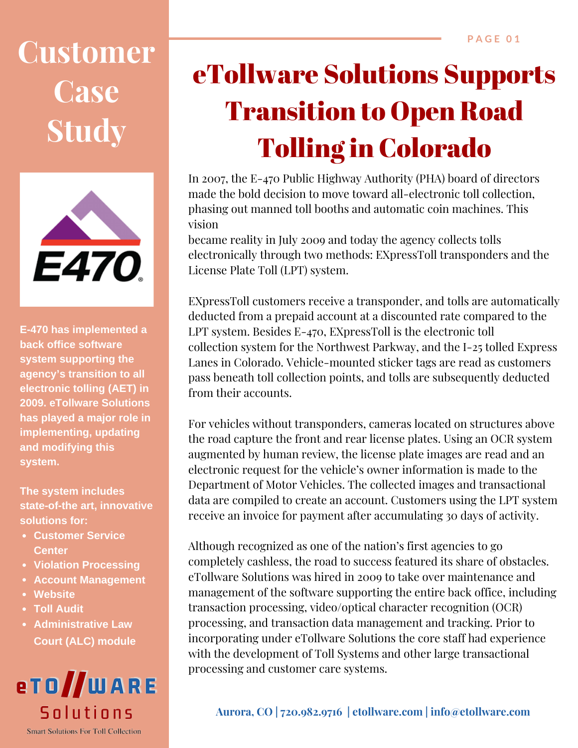## **Customer Case Study**



**E‐470 has implemented a back office software system supporting the agency's transition to all electronic tolling (AET) in 2009. eTollware Solutions has played a major role in implementing, updating and modifying this system.**

**The system includes state‐of‐the art, innovative solutions for:**

- **Customer Service Center**
- **Violation Processing**
- **Account Management**
- **Website**
- **Toll Audit**
- **Administrative Law Court (ALC) module**



## eTollware Solutions Supports Transition to Open Road Tolling in Colorado

In 2007, the E‐470 Public Highway Authority (PHA) board of directors made the bold decision to move toward all-electronic toll collection. phasing out manned toll booths and automatic coin machines. This vision

became reality in July 2009 and today the agency collects tolls electronically through two methods: EXpressToll transponders and the License Plate Toll (LPT) system.

EXpressToll customers receive a transponder, and tolls are automatically deducted from a prepaid account at a discounted rate compared to the LPT system. Besides E‐470, EXpressToll is the electronic toll collection system for the Northwest Parkway, and the I‐25 tolled Express Lanes in Colorado. Vehicle‐mounted sticker tags are read as customers pass beneath toll collection points, and tolls are subsequently deducted from their accounts.

For vehicles without transponders, cameras located on structures above the road capture the front and rear license plates. Using an OCR system augmented by human review, the license plate images are read and an electronic request for the vehicle's owner information is made to the Department of Motor Vehicles. The collected images and transactional data are compiled to create an account. Customers using the LPT system receive an invoice for payment after accumulating 30 days of activity.

Although recognized as one of the nation's first agencies to go completely cashless, the road to success featured its share of obstacles. eTollware Solutions was hired in 2009 to take over maintenance and management of the software supporting the entire back office, including transaction processing, video/optical character recognition (OCR) processing, and transaction data management and tracking. Prior to incorporating under eTollware Solutions the core staff had experience with the development of Toll Systems and other large transactional processing and customer care systems.